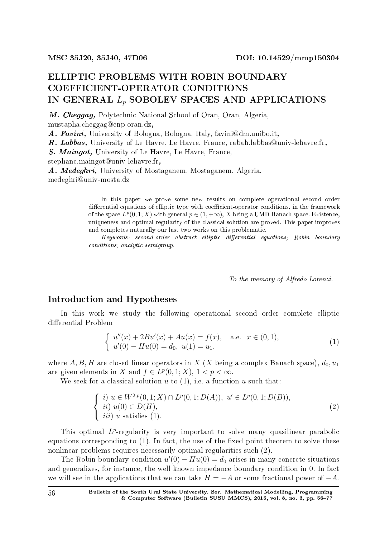## ELLIPTIC PROBLEMS WITH ROBIN BOUNDARY COEFFICIENT-OPERATOR CONDITIONS IN GENERAL *L<sup>p</sup>* SOBOLEV SPACES AND APPLICATIONS

M. Cheggag, Polytechnic National School of Oran, Oran, Algeria, mustapha.cheggag@enp-oran.dz,

A. Favini, University of Bologna, Bologna, Italy, favini@dm.unibo.it,

R. Labbas, University of Le Havre, Le Havre, France, rabah.labbas@univ-lehavre.fr,

S. Maingot, University of Le Havre, Le Havre, France,

stephane.maingot@univ-lehavre.fr,

A. Medeghri, University of Mostaganem, Mostaganem, Algeria, medeghri@univ-mosta.dz

> In this paper we prove some new results on complete operational second order differential equations of elliptic type with coefficient-operator conditions, in the framework of the space  $L^p(0,1;X)$  with general  $p \in (1,+\infty)$ , X being a UMD Banach space. Existence, uniqueness and optimal regularity of the classical solution are proved. This paper improves and completes naturally our last two works on this problematic.

> Keywords: second-order abstract elliptic differential equations; Robin boundary conditions; analytic semigroup.

> > To the memory of Alfredo Lorenzi.

### Introduction and Hypotheses

In this work we study the following operational second order complete elliptic differential Problem

$$
\begin{cases}\n u''(x) + 2Bu'(x) + Au(x) = f(x), \quad \text{a.e. } x \in (0, 1), \\
 u'(0) - Hu(0) = d_0, \ u(1) = u_1,\n\end{cases}
$$
\n(1)

where A, B, H are closed linear operators in X (X being a complex Banach space),  $d_0$ ,  $u_1$ are given elements in *X* and  $f \in L^p(0,1;X), 1 < p < \infty$ .

We seek for a classical solution *u* to (1), i.e. a function *u* such that:

$$
\begin{cases}\ni u \in W^{2,p}(0,1;X) \cap L^p(0,1;D(A)), \ u' \in L^p(0,1;D(B)),\\ \nii) \ u(0) \in D(H),\\ \niii) \ u \text{ satisfies (1)}.\n\end{cases} \tag{2}
$$

This optimal L<sup>p</sup>-regularity is very important to solve many quasilinear parabolic equations corresponding to  $(1)$ . In fact, the use of the fixed point theorem to solve these nonlinear problems requires necessarily optimal regularities such (2).

The Robin boundary condition  $u'(0) - Hu(0) = d_0$  arises in many concrete situations and generalizes, for instance, the well known impedance boundary condition in 0. In fact we will see in the applications that we can take  $H = -A$  or some fractional power of  $-A$ .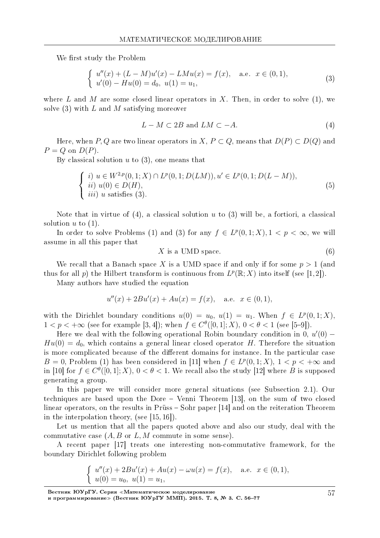We first study the Problem

$$
\begin{cases}\nu''(x) + (L - M)u'(x) - LMu(x) = f(x), \quad \text{a.e. } x \in (0, 1), \\
u'(0) - Hu(0) = d_0, \ u(1) = u_1,\n\end{cases}
$$
\n(3)

where L and M are some closed linear operators in X. Then, in order to solve  $(1)$ , we solve (3) with *L* and *M* satisfying moreover

$$
L - M \subset 2B \text{ and } LM \subset -A. \tag{4}
$$

Here, when *P*, *Q* are two linear operators in *X*,  $P \subset Q$ , means that  $D(P) \subset D(Q)$  and  $P = Q$  on  $D(P)$ .

By classical solution *u* to (3), one means that

$$
\begin{cases}\ni u \in W^{2,p}(0,1;X) \cap L^p(0,1;D(LM)), u' \in L^p(0,1;D(L-M)),\\ \nii) u(0) \in D(H),\\ \niii) u \text{ satisfies (3)}.\n\end{cases} \tag{5}
$$

Note that in virtue of (4), a classical solution *u* to (3) will be, a fortiori, a classical solution  $u$  to  $(1)$ .

In order to solve Problems (1) and (3) for any  $f \in L^p(0,1;X), 1 \le p \le \infty$ , we will assume in all this paper that

$$
X \t{is a UMD space.} \t(6)
$$

We recall that a Banach space X is a UMD space if and only if for some  $p > 1$  (and thus for all *p*) the Hilbert transform is continuous from  $L^p(\mathbb{R}; X)$  into itself (see [1,2]).

Many authors have studied the equation

$$
u''(x) + 2Bu'(x) + Au(x) = f(x), \quad \text{a.e. } x \in (0, 1),
$$

with the Dirichlet boundary conditions  $u(0) = u_0, u(1) = u_1$ . When  $f \in L^p(0,1;X)$ ,  $1 < p < +\infty$  (see for example [3,4]); when  $f \in C^{\theta}([0,1];X)$ ,  $0 < \theta < 1$  (see [5-9]).

Here we deal with the following operational Robin boundary condition in 0, *u ′* (0) *−*  $Hu(0) = d_0$ , which contains a general linear closed operator *H*. Therefore the situation is more complicated because of the different domains for instance. In the particular case *B* = 0, Problem (1) has been considered in [11] when  $f \in L^p(0,1;X)$ ,  $1 < p < +\infty$  and in [10] for  $f \in C^{\theta}([0,1];X)$ ,  $0 < \theta < 1$ . We recall also the study [12] where *B* is supposed generating a group.

In this paper we will consider more general situations (see Subsection 2.1). Our techniques are based upon the Dore Venni Theorem [13], on the sum of two closed linear operators, on the results in Prüss – Sohr paper [14] and on the reiteration Theorem in the interpolation theory, (see [15, 16]).

Let us mention that all the papers quoted above and also our study, deal with the commutative case (*A, B* or *L, M* commute in some sense).

A recent paper [17] treats one interesting non-commutative framework, for the boundary Dirichlet following problem

$$
\begin{cases}\nu''(x) + 2Bu'(x) + Au(x) - \omega u(x) = f(x), \quad \text{a.e. } x \in (0, 1), \\
u(0) = u_0, \ u(1) = u_1,\n\end{cases}
$$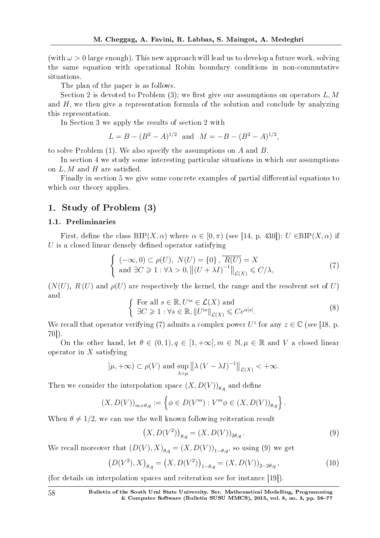(with  $\omega > 0$  large enough). This new approach will lead us to develop a future work, solving the same equation with operational Robin boundary conditions in non-commutative situations.

The plan of the paper is as follows.

Section 2 is devoted to Problem  $(3)$ ; we first give our assumptions on operators L, M and *H*, we then give a representation formula of the solution and conclude by analyzing this representation.

In Section 3 we apply the results of section 2 with

$$
L = B - (B^2 - A)^{1/2} \text{ and } M = -B - (B^2 - A)^{1/2},
$$

to solve Problem (1). We also specify the assumptions on *A* and *B*.

In section 4 we study some interesting particular situations in which our assumptions on  $L, M$  and  $H$  are satisfied.

Finally in section 5 we give some concrete examples of partial differential equations to which our theory applies.

#### 1. Study of Problem (3)

#### 1.1. Preliminaries

First, define the class  $BIP(X, \alpha)$  where  $\alpha \in [0, \pi)$  (see [14, p. 430]):  $U \in BIP(X, \alpha)$  if *U* is a closed linear densely defined operator satisfying

$$
\begin{cases}\n(-\infty, 0) \subset \rho(U), & N(U) = \{0\}, \overline{R(U)} = X \\
\text{and } \exists C \ge 1 : \forall \lambda > 0, \left\| (U + \lambda I)^{-1} \right\|_{\mathcal{L}(X)} \le C/\lambda,\n\end{cases} (7)
$$

 $(N(U), R(U)$  and  $\rho(U)$  are respectively the kernel, the range and the resolvent set of *U*) and

$$
\begin{cases} \text{For all } s \in \mathbb{R}, U^{is} \in \mathcal{L}(X) \text{ and} \\ \exists C \ge 1 : \forall s \in \mathbb{R}, ||U^{is}||_{\mathcal{L}(X)} \le C e^{\alpha|s|}. \end{cases} \tag{8}
$$

We recall that operator verifying (7) admits a complex power  $U^z$  for any  $z \in \mathbb{C}$  (see [18, p. 70]).

On the other hand, let  $\theta \in (0,1)$ ,  $q \in [1,+\infty]$ ,  $m \in \mathbb{N}, \mu \in \mathbb{R}$  and V a closed linear operator in *X* satisfying

$$
|\mu, +\infty) \subset \rho(V)
$$
 and  $\sup_{\lambda > \mu} ||\lambda (V - \lambda I)^{-1}||_{\mathcal{L}(X)} < +\infty$ .

Then we consider the interpolation space  $(X, D(V))_{\theta, q}$  and define

$$
(X, D(V))_{m+\theta,q} := \left\{ \phi \in D(V^m) : V^m \phi \in (X, D(V))_{\theta,q} \right\}.
$$

When  $\theta \neq 1/2$ , we can use the well known following reiteration result

$$
(X, D(V^2))_{\theta, q} = (X, D(V))_{2\theta, q}.
$$
 (9)

We recall moreover that  $(D(V), X)_{\theta,q} = (X, D(V))_{1-\theta,q}$ , so using (9) we get

$$
(D(V^2), X)_{\theta, q} = (X, D(V^2))_{1-\theta, q} = (X, D(V))_{2-2\theta, q},
$$
\n(10)

(for details on interpolation spaces and reiteration see for instance [19]).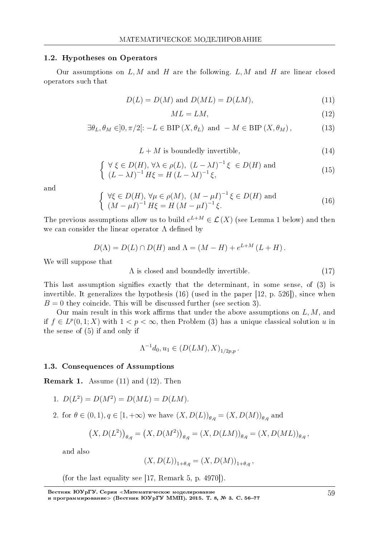#### 1.2. Hypotheses on Operators

Our assumptions on *L, M* and *H* are the following. *L, M* and *H* are linear closed operators such that

$$
D(L) = D(M) \text{ and } D(ML) = D(LM), \tag{11}
$$

$$
ML = LM,\t\t(12)
$$

$$
\exists \theta_L, \theta_M \in ]0, \pi/2[ : -L \in \text{BIP}(X, \theta_L) \text{ and } -M \in \text{BIP}(X, \theta_M), \tag{13}
$$

 $L + M$  is boundedly invertible,  $(14)$ 

$$
\begin{cases}\n\forall \xi \in D(H), \forall \lambda \in \rho(L), \ (L - \lambda I)^{-1} \xi \in D(H) \text{ and} \\
(L - \lambda I)^{-1} H \xi = H (L - \lambda I)^{-1} \xi,\n\end{cases}
$$
\n(15)

and

$$
\begin{cases} \forall \xi \in D(H), \forall \mu \in \rho(M), (M - \mu I)^{-1} \xi \in D(H) \text{ and} \\ (M - \mu I)^{-1} H \xi = H (M - \mu I)^{-1} \xi. \end{cases}
$$
(16)

The previous assumptions allow us to build  $e^{L+M} \in \mathcal{L}(X)$  (see Lemma 1 below) and then we can consider the linear operator  $\Lambda$  defined by

$$
D(\Lambda) = D(L) \cap D(H) \text{ and } \Lambda = (M - H) + e^{L+M} (L+H).
$$

We will suppose that

 $\Lambda$  is closed and boundedly invertible. (17)

This last assumption signifies exactly that the determinant, in some sense, of (3) is invertible. It generalizes the hypothesis (16) (used in the paper [12, p. 526]), since when  $B = 0$  they coincide. This will be discussed further (see section 3).

Our main result in this work affirms that under the above assumptions on  $L, M$ , and if  $f \text{ } \in L^p(0,1;X)$  with 1 <  $p$  < ∞, then Problem (3) has a unique classical solution *u* in the sense of (5) if and only if

$$
\Lambda^{-1}d_0, u_1 \in (D(LM), X)_{1/2p, p}.
$$

#### 1.3. Consequences of Assumptions

Remark 1. Assume (11) and (12). Then

1. 
$$
D(L^2) = D(M^2) = D(ML) = D(LM)
$$
.

2. for  $\theta \in (0, 1), q \in [1, +\infty)$  we have  $(X, D(L))_{\theta,q} = (X, D(M))_{\theta,q}$  and

$$
(X, D(L2))_{\theta,q} = (X, D(M2))_{\theta,q} = (X, D(LM))_{\theta,q} = (X, D(ML))_{\theta,q},
$$

and also

$$
(X, D(L))_{1+\theta,q} = (X, D(M))_{1+\theta,q},
$$

(for the last equality see [17, Remark 5, p. 4970]).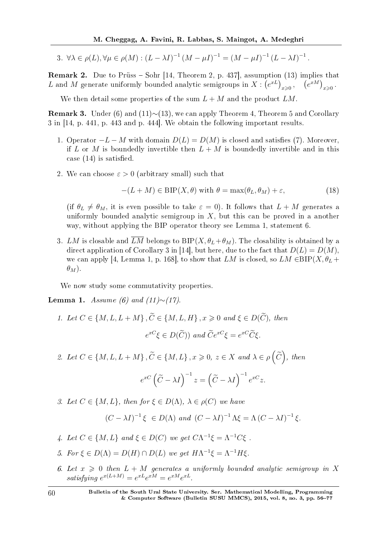3.  $\forall \lambda \in \rho(L), \forall \mu \in \rho(M) : (L - \lambda I)^{-1} (M - \mu I)^{-1} = (M - \mu I)^{-1} (L - \lambda I)^{-1}.$ 

**Remark 2.** Due to Prüss  $-$  Sohr [14, Theorem 2, p. 437], assumption (13) implies that *L* and *M* generate uniformly bounded analytic semigroups in  $X: (e^{xL})_{x\geqslant 0}$ ,  $(e^{xM})_{x\geqslant 0}$ .

We then detail some properties of the sum  $L + M$  and the product  $LM$ .

Remark 3. Under (6) and (11)∼(13), we can apply Theorem 4, Theorem 5 and Corollary 3 in [14, p. 441, p. 443 and p. 444]. We obtain the following important results.

- 1. Operator  $-L-M$  with domain  $D(L) = D(M)$  is closed and satisfies (7). Moreover, if *L* or *M* is boundedly invertible then  $L + M$  is boundedly invertible and in this case  $(14)$  is satisfied.
- 2. We can choose  $\varepsilon > 0$  (arbitrary small) such that

$$
-(L+M) \in \text{BIP}(X,\theta) \text{ with } \theta = \max(\theta_L, \theta_M) + \varepsilon,
$$
\n(18)

(if  $\theta_L \neq \theta_M$ , it is even possible to take  $\varepsilon = 0$ ). It follows that  $L + M$  generates a uniformly bounded analytic semigroup in *X*, but this can be proved in a another way, without applying the BIP operator theory see Lemma 1, statement 6.

3. *LM* is closable and  $\overline{LM}$  belongs to  $BIP(X, \theta_L + \theta_M)$ . The closability is obtained by a direct application of Corollary 3 in [14], but here, due to the fact that  $D(L) = D(M)$ , we can apply [4, Lemma 1, p. 168], to show that *LM* is closed, so  $LM \in BIP(X, \theta_L +$  $\theta_M$ ).

We now study some commutativity properties.

Lemma 1. Assume (6) and (11)*∼*(17).

- 1. Let  $C \in \{M, L, L + M\}$ ,  $\widetilde{C} \in \{M, L, H\}$ ,  $x \geq 0$  and  $\xi \in D(\widetilde{C})$ , then  $e^{xC}\xi \in D(\widetilde{C})$ ) and  $\widetilde{C}e^{xC}\xi = e^{xC}\widetilde{C}\xi$ .
- 2. Let  $C \in \{M, L, L + M\}$ ,  $\widetilde{C} \in \{M, L\}$ ,  $x \ge 0$ ,  $z \in X$  and  $\lambda \in \rho\left(\widetilde{C}\right)$ , then

$$
e^{xC} \left(\widetilde{C} - \lambda I\right)^{-1} z = \left(\widetilde{C} - \lambda I\right)^{-1} e^{xC} z.
$$

3. Let  $C \in \{M, L\}$ , then for  $\xi \in D(\Lambda)$ ,  $\lambda \in \rho(C)$  we have

$$
(C - \lambda I)^{-1} \xi \in D(\Lambda) \text{ and } (C - \lambda I)^{-1} \Lambda \xi = \Lambda (C - \lambda I)^{-1} \xi.
$$

- 4. Let  $C \in \{M, L\}$  and  $\xi \in D(C)$  we get  $C\Lambda^{-1}\xi = \Lambda^{-1}C\xi$ .
- 5. For  $\xi \in D(\Lambda) = D(H) \cap D(L)$  we get  $H\Lambda^{-1}\xi = \Lambda^{-1}H\xi$ .
- 6. Let  $x \geq 0$  then  $L + M$  generates a uniformly bounded analytic semigroup in X  $satisfying \ e^{x(L+M)} = e^{xL}e^{xM} = e^{xM}e^{xL}.$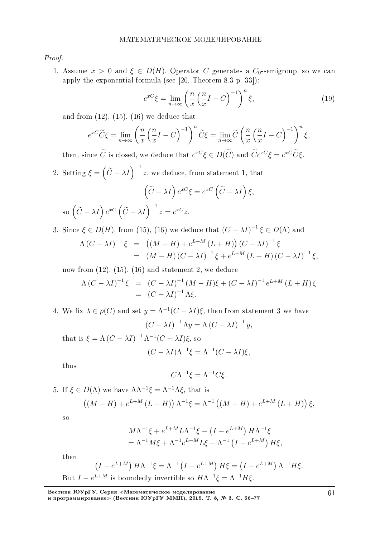Proof.

1. Assume  $x > 0$  and  $\xi \in D(H)$ . Operator *C* generates a *C*<sub>0</sub>-semigroup, so we can apply the exponential formula (see [20, Theorem 8.3 p. 33]):

$$
e^{xC}\xi = \lim_{n \to \infty} \left(\frac{n}{x}\left(\frac{n}{x}I - C\right)^{-1}\right)^n \xi,\tag{19}
$$

and from  $(12)$ ,  $(15)$ ,  $(16)$  we deduce that

$$
e^{xC}\widetilde{C}\xi = \lim_{n \to \infty} \left(\frac{n}{x}\left(\frac{n}{x}I - C\right)^{-1}\right)^n \widetilde{C}\xi = \lim_{n \to \infty} \widetilde{C}\left(\frac{n}{x}\left(\frac{n}{x}I - C\right)^{-1}\right)^n \xi,
$$

then, since  $\hat{C}$  is closed, we deduce that  $e^{xC}\xi \in D(\hat{C})$  and  $\hat{C}e^{xC}\xi = e^{xC}\hat{C}\xi$ .

2. Setting  $\xi = \left(\widetilde{C} - \lambda I\right)^{-1} z$ , we deduce, from statement 1, that

$$
\left(\widetilde{C} - \lambda I\right)e^{xC}\xi = e^{xC}\left(\widetilde{C} - \lambda I\right)\xi,
$$
  
so 
$$
\left(\widetilde{C} - \lambda I\right)e^{xC}\left(\widetilde{C} - \lambda I\right)^{-1}z = e^{xC}z.
$$

3. Since  $ξ ∈ D(H)$ , from (15), (16) we deduce that  $(C - λI)^{-1}ξ ∈ D(Λ)$  and  $\Lambda (C - \lambda I)^{-1} \xi = ((M - H) + e^{L + M} (L + H)) (C - \lambda I)^{-1} \xi$  $= (M - H) (C - \lambda I)^{-1} \xi + e^{L+M} (L+H) (C - \lambda I)^{-1} \xi,$ 

now from  $(12)$ ,  $(15)$ ,  $(16)$  and statement 2, we deduce

$$
\Lambda (C - \lambda I)^{-1} \xi = (C - \lambda I)^{-1} (M - H) \xi + (C - \lambda I)^{-1} e^{L + M} (L + H) \xi
$$
  
=  $(C - \lambda I)^{-1} \Lambda \xi$ .

4. We fix  $\lambda \in \rho(C)$  and set  $y = \Lambda^{-1}(C - \lambda I)\xi$ , then from statement 3 we have  $(C - \lambda I)^{-1} \Lambda y = \Lambda (C - \lambda I)^{-1} y,$ 

that is  $\xi = \Lambda (C - \lambda I)^{-1} \Lambda^{-1} (C - \lambda I) \xi$ , so  $(C - \lambda I)\Lambda^{-1}\xi = \Lambda^{-1}(C - \lambda I)\xi,$ 

thus

$$
C\Lambda^{-1}\xi = \Lambda^{-1}C\xi.
$$

5. If  $\xi$  ∈ *D*( $Λ$ ) we have  $ΛΛ^{-1}ξ = Λ^{-1}Λξ$ , that is

$$
((M - H) + e^{L+M} (L+H)) \Lambda^{-1} \xi = \Lambda^{-1} ((M - H) + e^{L+M} (L+H)) \xi,
$$

so

$$
M\Lambda^{-1}\xi + e^{L+M}L\Lambda^{-1}\xi - (I - e^{L+M}) H\Lambda^{-1}\xi
$$
  
=  $\Lambda^{-1}M\xi + \Lambda^{-1}e^{L+M}L\xi - \Lambda^{-1}(I - e^{L+M}) H\xi,$ 

then

$$
(I - e^{L+M}) H \Lambda^{-1} \xi = \Lambda^{-1} (I - e^{L+M}) H \xi = (I - e^{L+M}) \Lambda^{-1} H \xi.
$$
  
But  $I - e^{L+M}$  is boundedly invertible so  $H \Lambda^{-1} \xi = \Lambda^{-1} H \xi$ .

Вестник ЮУрГУ. Серия «Математическое моделирование

и программирование≫ (Вестник ЮУрГУ ММП). 2015. Т. 8, № 3. С. 56–77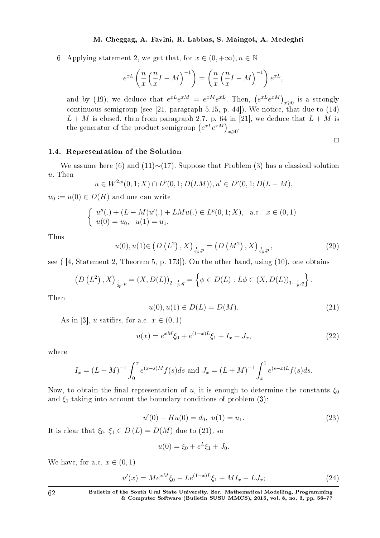6. Applying statement 2, we get that, for  $x \in (0, +\infty)$ ,  $n \in \mathbb{N}$ 

$$
e^{xL}\left(\frac{n}{x}\left(\frac{n}{x}I-M\right)^{-1}\right) = \left(\frac{n}{x}\left(\frac{n}{x}I-M\right)^{-1}\right)e^{xL},
$$

and by (19), we deduce that  $e^{xL}e^{xM} = e^{xM}e^{xL}$ . Then,  $(e^{xL}e^{xM})_{x\geq 0}$  is a strongly continuous semigroup (see [21, paragraph 5.15, p. 44]). We notice, that due to (14)  $L + M$  is closed, then from paragraph 2.7, p. 64 in [21], we deduce that  $L + M$  is the generator of the product semigroup  $(e^{xL}e^{xM})_{x\geqslant 0}$ .

#### 1.4. Representation of the Solution

We assume here (6) and (11)*∼*(17). Suppose that Problem (3) has a classical solution *u*. Then

$$
u \in W^{2,p}(0,1;X) \cap L^p(0,1;D(LM)), u' \in L^p(0,1;D(L-M)),
$$

 $u_0 := u(0) \in D(H)$  and one can write

$$
\begin{cases}\n u''(.) + (L - M)u'(.) + LMu(.) \in L^p(0, 1; X), \text{ a.e. } x \in (0, 1) \\
 u(0) = u_0, \quad u(1) = u_1.\n\end{cases}
$$

Thus

$$
u(0), u(1) \in \left(D\left(L^2\right), X\right)_{\frac{1}{2p}, p} = \left(D\left(M^2\right), X\right)_{\frac{1}{2p}, p}, \tag{20}
$$

see ( [4, Statement 2, Theorem 5, p. 173]). On the other hand, using (10), one obtains

$$
(D(L2), X)_{\frac{1}{2p}, p} = (X, D(L))_{2-\frac{1}{p}, q} = \left\{ \phi \in D(L) : L\phi \in (X, D(L))_{1-\frac{1}{p}, q} \right\}.
$$

Then

$$
u(0), u(1) \in D(L) = D(M). \tag{21}
$$

 $\Box$ 

As in [3], *u* satifies, for a.e.  $x \in (0,1)$ 

$$
u(x) = e^{xM}\xi_0 + e^{(1-x)L}\xi_1 + I_x + J_x,
$$
\n(22)

where

$$
I_x = (L+M)^{-1} \int_0^x e^{(x-s)M} f(s) ds \text{ and } J_x = (L+M)^{-1} \int_x^1 e^{(s-x)L} f(s) ds.
$$

Now, to obtain the final representation of *u*, it is enough to determine the constants  $\xi_0$ and  $\xi_1$  taking into account the boundary conditions of problem (3):

$$
u'(0) - Hu(0) = d_0, \ u(1) = u_1.
$$
\n(23)

It is clear that  $\xi_0, \xi_1 \in D(L) = D(M)$  due to (21), so

$$
u(0) = \xi_0 + e^L \xi_1 + J_0.
$$

We have, for a.e.  $x \in (0,1)$ 

$$
u'(x) = Me^{xM}\xi_0 - Le^{(1-x)L}\xi_1 + MI_x - LJ_x; \tag{24}
$$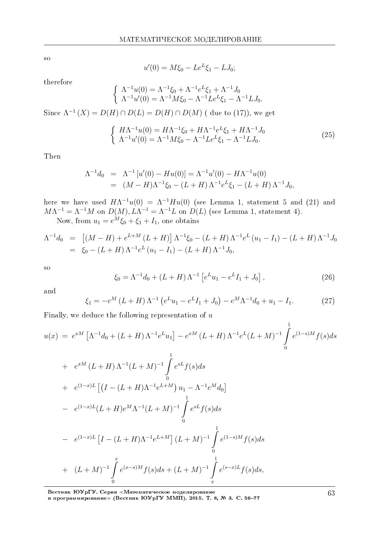so

$$
u'(0) = M\xi_0 - Le^L\xi_1 - LJ_0;
$$

therefore

$$
\begin{cases}\n\Lambda^{-1}u(0) = \Lambda^{-1}\xi_0 + \Lambda^{-1}e^L\xi_1 + \Lambda^{-1}J_0 \\
\Lambda^{-1}u'(0) = \Lambda^{-1}M\xi_0 - \Lambda^{-1}Le^L\xi_1 - \Lambda^{-1}LJ_0.\n\end{cases}
$$

Since  $\Lambda^{-1}(X) = D(H) \cap D(L) = D(H) \cap D(M)$  (due to (17)), we get

$$
\begin{cases}\nH\Lambda^{-1}u(0) = H\Lambda^{-1}\xi_0 + H\Lambda^{-1}e^L\xi_1 + H\Lambda^{-1}J_0 \\
\Lambda^{-1}u'(0) = \Lambda^{-1}M\xi_0 - \Lambda^{-1}Le^L\xi_1 - \Lambda^{-1}LJ_0.\n\end{cases}
$$
\n(25)

Then

$$
\Lambda^{-1}d_0 = \Lambda^{-1}[u'(0) - Hu(0)] = \Lambda^{-1}u'(0) - H\Lambda^{-1}u(0)
$$
  
= 
$$
(M - H)\Lambda^{-1}\xi_0 - (L + H)\Lambda^{-1}e^L\xi_1 - (L + H)\Lambda^{-1}J_0,
$$

here we have used  $H\Lambda^{-1}u(0) = \Lambda^{-1}Hu(0)$  (see Lemma 1, statement 5 and (21) and  $M\Lambda^{-1} = \Lambda^{-1}M$  on  $D(M), L\Lambda^{-1} = \Lambda^{-1}L$  on  $D(L)$  (see Lemma 1, statement 4). Now, from  $u_1 = e^M \xi_0 + \xi_1 + I_1$ , one obtains

 $\Lambda^{-1}d_0 = \left[ (M - H) + e^{L+M} (L+H) \right] \Lambda^{-1} \xi_0 - (L+H) \Lambda^{-1} e^{L} (u_1 - I_1) - (L+H) \Lambda^{-1} J_0$  $= \xi_0 - (L + H) \Lambda^{-1} e^L (u_1 - I_1) - (L + H) \Lambda^{-1} J_0$ 

so

$$
\xi_0 = \Lambda^{-1} d_0 + (L+H) \Lambda^{-1} \left[ e^L u_1 - e^L I_1 + J_0 \right], \tag{26}
$$

1

and

$$
\xi_1 = -e^M (L+H) \Lambda^{-1} \left( e^L u_1 - e^L I_1 + J_0 \right) - e^M \Lambda^{-1} d_0 + u_1 - I_1. \tag{27}
$$

Finally, we deduce the following representation of *u*

$$
u(x) = e^{xM} \left[ \Lambda^{-1} d_0 + (L+H) \Lambda^{-1} e^L u_1 \right] - e^{xM} (L+H) \Lambda^{-1} e^L (L+M)^{-1} \int_0^1 e^{(1-s)M} f(s) ds
$$
  
+  $e^{xM} (L+H) \Lambda^{-1} (L+M)^{-1} \int_0^1 e^{sL} f(s) ds$   
+  $e^{(1-x)L} \left[ \left( I - (L+H) \Lambda^{-1} e^{L+M} \right) u_1 - \Lambda^{-1} e^M d_0 \right]$ 

$$
- e^{(1-x)L}(L+H)e^{M}\Lambda^{-1}(L+M)^{-1} \int_{0}^{t} e^{sL}f(s)ds
$$

$$
- e^{(1-x)L} \left[ I - (L+H)\Lambda^{-1} e^{L+M} \right] (L+M)^{-1} \int_{0}^{1} e^{(1-s)M} f(s) ds
$$
  
+ 
$$
(L+M)^{-1} \int_{0}^{x} e^{(x-s)M} f(s) ds + (L+M)^{-1} \int_{x}^{1} e^{(s-x)L} f(s) ds,
$$

Вестник ЮУрГУ. Серия «Математическое моделирование и программирование≫ (Вестник ЮУрГУ ММП). 2015. Т. 8, № 3. С. 56–77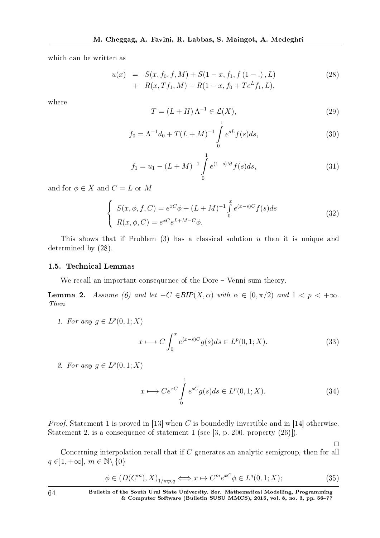which can be written as

$$
u(x) = S(x, f_0, f, M) + S(1 - x, f_1, f(1 - .), L) + R(x, Tf_1, M) - R(1 - x, f_0 + Te^L f_1, L),
$$
\n(28)

where

$$
T = (L+H)\Lambda^{-1} \in \mathcal{L}(X),
$$
\n<sup>(29)</sup>

$$
f_0 = \Lambda^{-1} d_0 + T(L+M)^{-1} \int_0^{\infty} e^{sL} f(s) ds,
$$
\n(30)

$$
f_1 = u_1 - (L + M)^{-1} \int_0^1 e^{(1-s)M} f(s) ds,
$$
\n(31)

and for  $\phi \in X$  and  $C = L$  or M

$$
\begin{cases}\nS(x,\phi,f,C) = e^{xC}\phi + (L+M)^{-1} \int_{0}^{x} e^{(x-s)C} f(s)ds \\
R(x,\phi,C) = e^{xC} e^{L+M-C}\phi.\n\end{cases}
$$
\n(32)

This shows that if Problem (3) has a classical solution *u* then it is unique and determined by (28).

#### 1.5. Technical Lemmas

We recall an important consequence of the Dore  $-$  Venni sum theory.

**Lemma 2.** Assume (6) and let  $-C \in BIP(X, \alpha)$  with  $\alpha \in [0, \pi/2)$  and  $1 < p < +\infty$ . Then

1. For any  $g \in L^p(0,1;X)$ 

$$
x \longmapsto C \int_0^x e^{(x-s)C} g(s) ds \in L^p(0, 1; X). \tag{33}
$$

2. For any  $g \in L^p(0,1;X)$ 

$$
x \longmapsto Ce^{xC} \int\limits_{0}^{1} e^{sC} g(s)ds \in L^{p}(0, 1; X). \tag{34}
$$

 $\Box$ 

Proof. Statement 1 is proved in [13] when *C* is boundedly invertible and in [14] otherwise. Statement 2. is a consequence of statement 1 (see [3, p. 200, property (26)]).

Concerning interpolation recall that if *C* generates an analytic semigroup, then for all *q ∈*]1*,* +*∞*]*, m ∈* N*\ {*0*}*

$$
\phi \in (D(C^m), X)_{1/mp,q} \Longleftrightarrow x \mapsto C^m e^{xC} \phi \in L^q(0, 1; X); \tag{35}
$$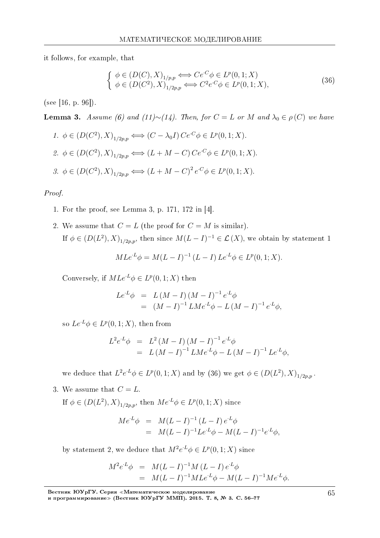it follows, for example, that

$$
\begin{cases}\n\phi \in (D(C), X)_{1/p, p} \Longleftrightarrow Ce^{C}\phi \in L^p(0, 1; X) \\
\phi \in (D(C^2), X)_{1/2p, p} \Longleftrightarrow C^2 e^{C}\phi \in L^p(0, 1; X),\n\end{cases} \tag{36}
$$

(see [16, p. 96]).

**Lemma 3.** Assume (6) and (11)∼(14). Then, for  $C = L$  or  $M$  and  $\lambda_0 \in \rho(C)$  we have

1. 
$$
\phi \in (D(C^2), X)_{1/2p,p} \iff (C - \lambda_0 I) Ce^{C} \phi \in L^p(0, 1; X).
$$
  
\n2.  $\phi \in (D(C^2), X)_{1/2p,p} \iff (L + M - C) Ce^{C} \phi \in L^p(0, 1; X).$   
\n3.  $\phi \in (D(C^2), X)_{1/2p,p} \iff (L + M - C)^2 e^{C} \phi \in L^p(0, 1; X).$ 

Proof.

- 1. For the proof, see Lemma 3, p. 171, 172 in [4].
- 2. We assume that  $C = L$  (the proof for  $C = M$  is similar). If  $\phi \in (D(L^2), X)_{1/2p,p}$ , then since  $M(L - I)^{-1} \in \mathcal{L}(X)$ , we obtain by statement 1

$$
MLe^{L}\phi = M(L - I)^{-1} (L - I) Le^{L}\phi \in L^{p}(0, 1; X).
$$

Conversely, if  $MLe^{L}\phi \in L^p(0,1;X)$  then

$$
Le^{L}\phi = L(M - I)(M - I)^{-1}e^{L}\phi
$$
  
=  $(M - I)^{-1}LMe^{L}\phi - L(M - I)^{-1}e^{L}\phi,$ 

so  $Le^{L}\phi \in L^p(0,1;X)$ , then from

$$
L^{2}e^{L}\phi = L^{2}(M - I)(M - I)^{-1}e^{L}\phi
$$
  
=  $L(M - I)^{-1}LMe^{L}\phi - L(M - I)^{-1}Le^{L}\phi,$ 

we deduce that  $L^2 e^{L} \phi \in L^p(0,1;X)$  and by (36) we get  $\phi \in (D(L^2), X)_{1/2p,p}$ .

3. We assume that  $C = L$ .

If  $\phi \in (D(L^2), X)_{1/2p,p}$ , then  $Me^{L}\phi \in L^p(0, 1; X)$  since

$$
Me^{L}\phi = M(L - I)^{-1} (L - I) e^{L}\phi
$$
  
=  $M(L - I)^{-1} Le^{L}\phi - M(L - I)^{-1} e^{L}\phi,$ 

by statement 2, we deduce that  $M^2 e^{L} \phi \in L^p(0,1;X)$  since

$$
M^{2}e^{L}\phi = M(L - I)^{-1}M(L - I)e^{L}\phi
$$
  
=  $M(L - I)^{-1}MLe^{L}\phi - M(L - I)^{-1}Me^{L}\phi.$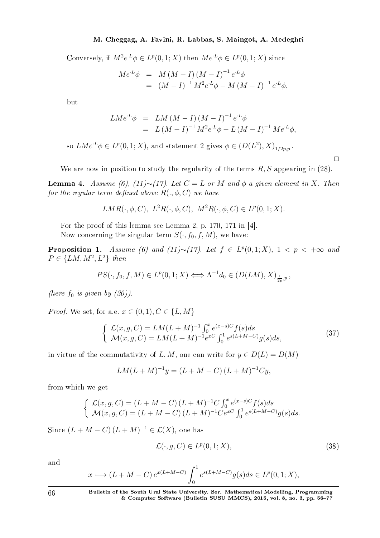Conversely, if  $M^2 e^{L} \phi \in L^p(0,1;X)$  then  $Me^{L} \phi \in L^p(0,1;X)$  since

$$
Me^{L}\phi = M(M - I)(M - I)^{-1}e^{L}\phi
$$
  
= 
$$
(M - I)^{-1}M^{2}e^{L}\phi - M(M - I)^{-1}e^{L}\phi,
$$

but

$$
LMe^{L}\phi = LM(M - I)(M - I)^{-1}e^{L}\phi
$$
  
=  $L(M - I)^{-1}M^{2}e^{L}\phi - L(M - I)^{-1}Me^{L}\phi,$ 

so  $LMe^{L}\phi \in L^{p}(0,1;X)$ , and statement 2 gives  $\phi \in (D(L^{2}), X)_{1/2p,p}$ .

We are now in position to study the regularity of the terms *R, S* appearing in (28).

 $\Box$ 

Lemma 4. Assume (6), (11)∼(17). Let  $C = L$  or  $M$  and  $φ$  a given element in  $X$ . Then for the regular term defined above  $R(.,\phi,C)$  we have

$$
LMR(\cdot, \phi, C), L^2R(\cdot, \phi, C), M^2R(\cdot, \phi, C) \in L^p(0, 1; X).
$$

For the proof of this lemma see Lemma 2, p. 170, 171 in [4]. Now concerning the singular term  $S(\cdot, f_0, f, M)$ , we have:

**Proposition 1.** Assume (6) and (11)∼(17). Let  $f \in L^p(0,1;X)$ ,  $1 < p < +\infty$  and  $P \in \{LM, M^2, L^2\}$  then

$$
PS(\cdot, f_0, f, M) \in L^p(0, 1; X) \Longleftrightarrow \Lambda^{-1}d_0 \in (D(LM), X)_{\frac{1}{2p}, p},
$$

(here  $f_0$  is given by  $(30)$ ).

*Proof.* We set, for a.e.  $x \in (0, 1), C \in \{L, M\}$ 

$$
\begin{cases}\n\mathcal{L}(x, g, C) = LM(L+M)^{-1} \int_0^x e^{(x-s)C} f(s) ds \\
\mathcal{M}(x, g, C) = LM(L+M)^{-1} e^{xC} \int_0^1 e^{s(L+M-C)} g(s) ds,\n\end{cases}
$$
\n(37)

in virtue of the commutativity of *L, M*, one can write for  $y \in D(L) = D(M)$ 

$$
LM(L+M)^{-1}y = (L+M-C)(L+M)^{-1}Cy,
$$

from which we get

$$
\begin{cases}\n\mathcal{L}(x, g, C) = (L + M - C) (L + M)^{-1} C \int_0^x e^{(x-s)C} f(s) ds \\
\mathcal{M}(x, g, C) = (L + M - C) (L + M)^{-1} C e^{xC} \int_0^1 e^{s(L + M - C)} g(s) ds.\n\end{cases}
$$

Since  $(L + M - C)(L + M)^{-1} \in \mathcal{L}(X)$ , one has

$$
\mathcal{L}(\cdot, g, C) \in L^p(0, 1; X),\tag{38}
$$

and

$$
x \longmapsto (L+M-C) e^{x(L+M-C)} \int_0^1 e^{s(L+M-C)} g(s) ds \in L^p(0,1;X),
$$

66 Bulletin of the South Ural State University. Ser. Mathematical Modelling, Programming & Computer Software (Bulletin SUSU MMCS), 2015, vol. 8, no. 3, pp. 5677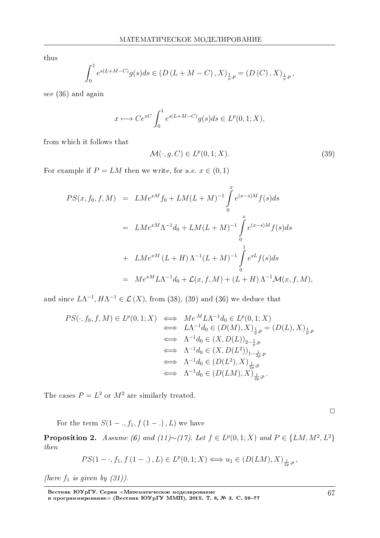thus

$$
\int_0^1 e^{s(L+M-C)} g(s) ds \in (D(L+M-C), X)_{\frac{1}{p}, p} = (D(C), X)_{\frac{1}{p}, p},
$$

see (36) and again

$$
x \longmapsto Ce^{xC} \int_0^1 e^{s(L+M-C)}g(s)ds \in L^p(0,1;X),
$$

from which it follows that

$$
\mathcal{M}(\cdot, g, C) \in L^p(0, 1; X). \tag{39}
$$

For example if  $P = LM$  then we write, for a.e.  $x \in (0,1)$ 

$$
PS(x, f_0, f, M) = LM e^{xM} f_0 + LM(L+M)^{-1} \int_0^x e^{(x-s)M} f(s) ds
$$
  
=  $LM e^{xM} \Lambda^{-1} d_0 + LM(L+M)^{-1} \int_0^x e^{(x-s)M} f(s) ds$   
+  $LM e^{xM} (L+H) \Lambda^{-1} (L+M)^{-1} \int_0^1 e^{sL} f(s) ds$   
=  $Me^{xM} L \Lambda^{-1} d_0 + \mathcal{L}(x, f, M) + (L+H) \Lambda^{-1} \mathcal{M}(x, f, M),$ 

and since  $L\Lambda^{-1}$ ,  $H\Lambda^{-1} \in \mathcal{L}(X)$ , from (38), (39) and (36) we deduce that

$$
PS(\cdot, f_0, f, M) \in L^p(0, 1; X) \iff Me^{\cdot M} L \Lambda^{-1} d_0 \in L^p(0, 1; X)
$$
  
\n
$$
\iff L \Lambda^{-1} d_0 \in (D(M), X)_{\frac{1}{p}, p} = (D(L), X)_{\frac{1}{p}, p}
$$
  
\n
$$
\iff \Lambda^{-1} d_0 \in (X, D(L))_{2-\frac{1}{p}, p}
$$
  
\n
$$
\iff \Lambda^{-1} d_0 \in (X, D(L^2))_{1-\frac{1}{2p}, p}
$$
  
\n
$$
\iff \Lambda^{-1} d_0 \in (D(L^2), X)_{\frac{1}{2p}, p}
$$
  
\n
$$
\iff \Lambda^{-1} d_0 \in (D(LM), X)_{\frac{1}{2p}, p}.
$$

The cases  $P = L^2$  or  $M^2$  are similarly treated.

 $\Box$ 

For the term  $S(1 - ., f_1, f(1 - .), L)$  we have

**Proposition 2.** Assume (6) and (11)∼(17). Let  $f \text{ } \in L^p(0,1;X)$  and  $P \in \{LM, M^2, L^2\}$ then

$$
PS(1-\cdot,f_1,f(1-\cdot),L)\in L^p(0,1;X)\Longleftrightarrow u_1\in (D(LM),X)_{\frac{1}{2p},p},
$$

(here  $f_1$  is given by  $(31)$ ).

Вестник ЮУрГУ. Серия «Математическое моделирование и программирование≫ (Вестник ЮУрГУ ММП). 2015. Т. 8, № 3. С. 56–77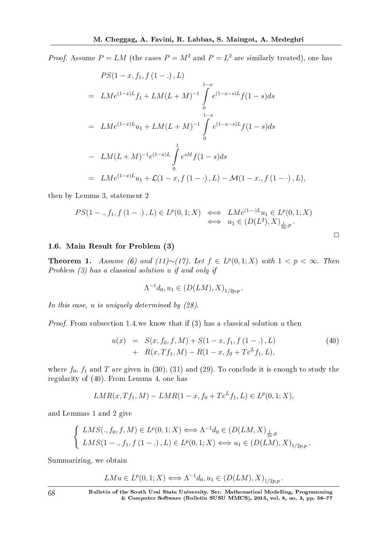*Proof.* Assume  $P = LM$  (the cases  $P = M^2$  and  $P = L^2$  are similarly treated), one has

$$
PS(1-x, f_1, f (1-.) , L)
$$
  
=  $LMe^{(1-x)L}f_1 + LM(L+M)^{-1} \int_{0}^{1-x} e^{(1-x-s)L}f(1-s)ds$   
=  $LMe^{(1-x)L}u_1 + LM(L+M)^{-1} \int_{0}^{1-x} e^{(1-x-s)L}f(1-s)ds$   
-  $LM(L+M)^{-1}e^{(1-x)L} \int_{0}^{1} e^{sM}f(1-s)ds$   
=  $LMe^{(1-x)L}u_1 + \mathcal{L}(1-x, f (1-.) , L) - \mathcal{M}(1-x, f (1-.) , L),$ 

then by Lemma 3, statement 2

$$
PS(1-, f_1, f(1-.) , L) \in L^p(0, 1; X) \iff LMe^{(1-.)L}u_1 \in L^p(0, 1; X) \n\iff u_1 \in (D(L^2), X)_{\frac{1}{2p}, p}.
$$

#### 1.6. Main Result for Problem (3)

**Theorem 1.** Assume (6) and (11)∼(17). Let  $f \text{ } \in L^p(0,1;X)$  with  $1 < p < ∞$ . Then Problem (3) has a classical solution *u* if and only if

$$
\Lambda^{-1}d_0, u_1 \in (D(LM), X)_{1/2p, p}.
$$

In this case, *u* is uniquely determined by  $(28)$ .

*Proof.* From subsection 1.4, we know that if  $(3)$  has a classical solution  $u$  then

$$
u(x) = S(x, f_0, f, M) + S(1 - x, f_1, f(1 - .), L) + R(x, Tf_1, M) - R(1 - x, f_0 + Te^L f_1, L),
$$
\n(40)

where  $f_0$ ,  $f_1$  and  $T$  are given in (30), (31) and (29). To conclude it is enough to study the regularity of (40). From Lemma 4, one has

$$
LMR(x, Tf_1, M) - LMR(1 - x, f_0 + Te^L f_1, L) \in L^p(0, 1; X),
$$

and Lemmas 1 and 2 give

$$
\begin{cases}\nLMS(., f_0, f, M) \in L^p(0, 1; X) \Longleftrightarrow \Lambda^{-1} d_0 \in (D(LM, X)_{\frac{1}{2p}, p} \\
LMS(1-, f_1, f(1-.), L) \in L^p(0, 1; X) \Longleftrightarrow u_1 \in (D(LM), X)_{1/2p, p}.\n\end{cases}
$$

Summarizing, we obtain

$$
LMu \in L^p(0,1;X) \Longleftrightarrow \Lambda^{-1}d_0, u_1 \in (D(LM),X)_{1/2p,p}.
$$

68 Bulletin of the South Ural State University. Ser. Mathematical Modelling, Programming & Computer Software (Bulletin SUSU MMCS), 2015, vol. 8, no. 3, pp. 5677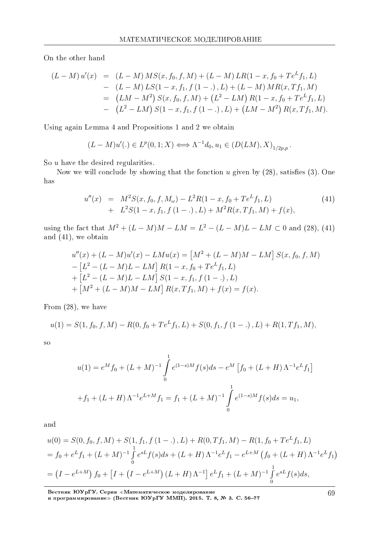On the other hand

$$
(L-M) u'(x) = (L-M) MS(x, f_0, f, M) + (L-M) LR(1-x, f_0 + Te^L f_1, L)
$$
  
\n
$$
- (L-M) LS(1-x, f_1, f (1 - .), L) + (L-M) MR(x, Tf_1, M)
$$
  
\n
$$
= (LM-M^2) S(x, f_0, f, M) + (L^2-LM) R(1-x, f_0 + Te^L f_1, L)
$$
  
\n
$$
- (L^2-LM) S(1-x, f_1, f (1 - .), L) + (LM-M^2) R(x, Tf_1, M).
$$

Using again Lemma 4 and Propositions 1 and 2 we obtain

$$
(L-M)u'(.) \in L^p(0,1;X) \Longleftrightarrow \Lambda^{-1}d_0, u_1 \in (D(LM),X)_{1/2p,p}.
$$

So *u* have the desired regularities.

Now we will conclude by showing that the fonction  $u$  given by  $(28)$ , satisfies  $(3)$ . One has

$$
u''(x) = M^2 S(x, f_0, f, M_\omega) - L^2 R(1 - x, f_0 + Te^L f_1, L)
$$
  
+ 
$$
L^2 S(1 - x, f_1, f(1 - .), L) + M^2 R(x, Tf_1, M) + f(x),
$$
 (41)

using the fact that  $M^2 + (L - M)M - LM = L^2 - (L - M)L - LM \subset 0$  and (28), (41) and (41), we obtain

$$
u''(x) + (L - M)u'(x) - LMu(x) = [M^2 + (L - M)M - LM] S(x, f_0, f, M)
$$
  
\n
$$
- [L^2 - (L - M)L - LM] R(1 - x, f_0 + Te^L f_1, L)
$$
  
\n
$$
+ [L^2 - (L - M)L - LM] S(1 - x, f_1, f(1 - .), L)
$$
  
\n
$$
+ [M^2 + (L - M)M - LM] R(x, Tf_1, M) + f(x) = f(x).
$$

From (28), we have

$$
u(1) = S(1, f_0, f, M) - R(0, f_0 + Te^L f_1, L) + S(0, f_1, f(1 - .), L) + R(1, Tf_1, M),
$$

so

$$
u(1) = e^M f_0 + (L+M)^{-1} \int_0^1 e^{(1-s)M} f(s) ds - e^M \left[ f_0 + (L+H) \Lambda^{-1} e^L f_1 \right]
$$
  
+  $f_1 + (L+H) \Lambda^{-1} e^{L+M} f_1 = f_1 + (L+M)^{-1} \int_0^1 e^{(1-s)M} f(s) ds = u_1,$ 

and

$$
u(0) = S(0, f_0, f, M) + S(1, f_1, f(1 - .), L) + R(0, Tf_1, M) - R(1, f_0 + Te^L f_1, L)
$$
  
=  $f_0 + e^L f_1 + (L + M)^{-1} \int_0^1 e^{sL} f(s) ds + (L + H) \Lambda^{-1} e^L f_1 - e^{L+M} (f_0 + (L + H) \Lambda^{-1} e^L f_1)$   
=  $(I - e^{L+M}) f_0 + [I + (I - e^{L+M}) (L + H) \Lambda^{-1}] e^L f_1 + (L + M)^{-1} \int_0^1 e^{sL} f(s) ds,$ 

Вестник ЮУрГУ. Серия «Математическое моделирование

и программирование≫ (Вестник ЮУрГУ ММП). 2015. Т. 8, № 3. С. 56–77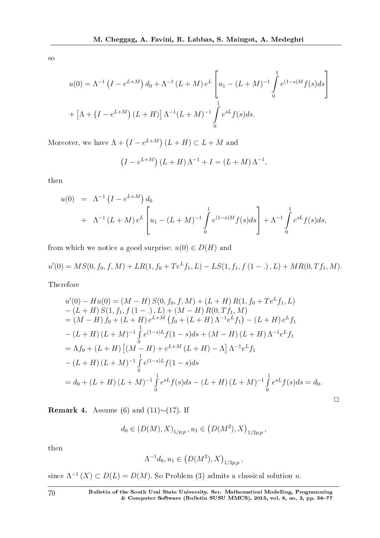so

$$
u(0) = \Lambda^{-1} (I - e^{L+M}) d_0 + \Lambda^{-1} (L+M) e^L \left[ u_1 - (L+M)^{-1} \int_0^1 e^{(1-s)M} f(s) ds \right]
$$
  
+ 
$$
\left[ \Lambda + (I - e^{L+M}) (L+H) \right] \Lambda^{-1} (L+M)^{-1} \int_0^1 e^{sL} f(s) ds.
$$

Moreover, we have  $\Lambda + (I - e^{L+M})(L+H) \subset L+M$  and

$$
(I - e^{L+M})(L+H)\Lambda^{-1} + I = (L+M)\Lambda^{-1},
$$

then

$$
u(0) = \Lambda^{-1} (I - e^{L+M}) d_0
$$
  
+  $\Lambda^{-1} (L+M) e^{L} \left[ u_1 - (L+M)^{-1} \int_0^1 e^{(1-s)M} f(s) ds \right] + \Lambda^{-1} \int_0^1 e^{sL} f(s) ds,$ 

from which we notice a good surprise:  $u(0) \in D(H)$  and

$$
u'(0) = MS(0, f_0, f, M) + LR(1, f_0 + Te^L f_1, L) - LS(1, f_1, f(1 - .), L) + MR(0, Tf_1, M).
$$

Therefore

$$
u'(0) - Hu(0) = (M - H) S(0, f_0, f, M) + (L + H) R(1, f_0 + Te^L f_1, L)
$$
  
\n
$$
- (L + H) S(1, f_1, f (1 - .), L) + (M - H) R(0, Tf_1, M)
$$
  
\n
$$
= (M - H) f_0 + (L + H) e^{L+M} (f_0 + (L + H) \Lambda^{-1} e^L f_1) - (L + H) e^L f_1
$$
  
\n
$$
- (L + H) (L + M)^{-1} \int_0^1 e^{(1-s)L} f(1 - s) ds + (M - H) (L + H) \Lambda^{-1} e^L f_1
$$
  
\n
$$
= \Lambda f_0 + (L + H) \left[ (M - H) + e^{L+M} (L + H) - \Lambda \right] \Lambda^{-1} e^L f_1
$$
  
\n
$$
- (L + H) (L + M)^{-1} \int_0^1 e^{(1-s)L} f(1 - s) ds
$$
  
\n
$$
= d_0 + (L + H) (L + M)^{-1} \int_0^1 e^{sL} f(s) ds - (L + H) (L + M)^{-1} \int_0^1 e^{sL} f(s) ds = d_0.
$$

Remark 4. Assume (6) and (11)*∼*(17). If

$$
d_0 \in (D(M), X)_{1/p,p}, u_1 \in (D(M^2), X)_{1/2p,p}
$$

then

$$
\Lambda^{-1}d_0, u_1 \in (D(M^2), X)_{1/2p, p},
$$

since  $\Lambda^{-1}(X) \subset D(L) = D(M)$ . So Problem (3) admits a classical solution *u*.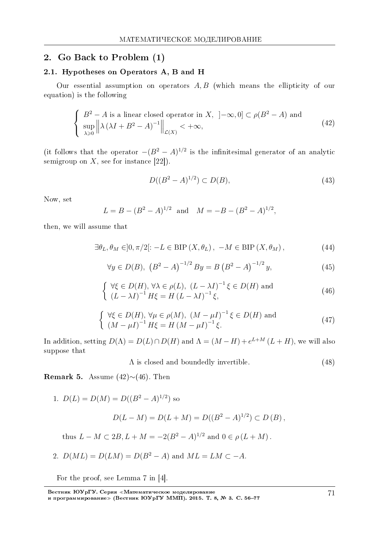#### 2. Go Back to Problem (1)

#### 2.1. Hypotheses on Operators A, B and H

Our essential assumption on operators *A, B* (which means the ellipticity of our equation) is the following

$$
\begin{cases}\nB^2 - A \text{ is a linear closed operator in } X, \quad ]-\infty, 0] \subset \rho(B^2 - A) \text{ and} \\
\sup_{\lambda \ge 0} \left\| \lambda \left( \lambda I + B^2 - A \right)^{-1} \right\|_{\mathcal{L}(X)} < +\infty,\n\end{cases} \tag{42}
$$

(it follows that the operator  $-(B^2 - A)^{1/2}$  is the infinitesimal generator of an analytic semigroup on  $X$ , see for instance [22]).

$$
D((B^2 - A)^{1/2}) \subset D(B),\tag{43}
$$

Now, set

$$
L = B - (B^2 - A)^{1/2} \text{ and } M = -B - (B^2 - A)^{1/2},
$$

then, we will assume that

$$
\exists \theta_L, \theta_M \in ]0, \pi/2[: -L \in \text{BIP}(X, \theta_L), -M \in \text{BIP}(X, \theta_M), \tag{44}
$$

$$
\forall y \in D(B), \ (B^2 - A)^{-1/2} B y = B (B^2 - A)^{-1/2} y,\tag{45}
$$

$$
\begin{cases} \forall \xi \in D(H), \forall \lambda \in \rho(L), (L - \lambda I)^{-1} \xi \in D(H) \text{ and} \\ (L - \lambda I)^{-1} H \xi = H (L - \lambda I)^{-1} \xi, \end{cases}
$$
(46)

$$
\begin{cases} \forall \xi \in D(H), \forall \mu \in \rho(M), (M - \mu I)^{-1} \xi \in D(H) \text{ and} \\ (M - \mu I)^{-1} H \xi = H (M - \mu I)^{-1} \xi. \end{cases} (47)
$$

In addition, setting  $D(\Lambda) = D(L) \cap D(H)$  and  $\Lambda = (M - H) + e^{L + M} (L + H)$ , we will also suppose that

Λ is closed and boundedly invertible. (48)

Remark 5. Assume (42)*∼*(46). Then

1. 
$$
D(L) = D(M) = D((B^2 - A)^{1/2})
$$
 so  
\n
$$
D(L - M) = D(L + M) = D((B^2 - A)^{1/2}) \subset D(B),
$$
\nthus  $L - M \subset 2B, L + M = -2(B^2 - A)^{1/2}$  and  $0 \in \rho(L + M)$ .

2. 
$$
D(ML) = D(LM) = D(B^2 - A)
$$
 and  $ML = LM \subset -A$ .

For the proof, see Lemma 7 in [4].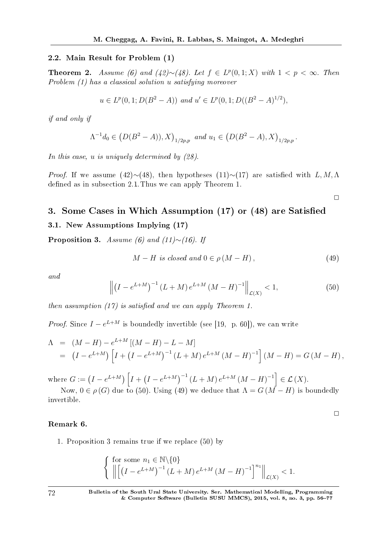#### 2.2. Main Result for Problem (1)

**Theorem 2.** Assume (6) and (42)∼(48). Let  $f \text{ } \in L^p(0,1;X)$  with  $1 < p < ∞$ . Then Problem (1) has a classical solution *u* satisfying moreover

$$
u \in L^p(0, 1; D(B^2 - A))
$$
 and  $u' \in L^p(0, 1; D((B^2 - A)^{1/2}))$ ,

if and only if

$$
\Lambda^{-1}d_0 \in (D(B^2 - A)), X)_{1/2p, p} \text{ and } u_1 \in (D(B^2 - A), X)_{1/2p, p}.
$$

In this case, *u* is uniquely determined by  $(28)$ .

*Proof.* If we assume (42) $\sim$ (48), then hypotheses (11) $\sim$ (17) are satisfied with *L,M,N* defined as in subsection 2.1. Thus we can apply Theorem 1.

 $\Box$ 

 $\Box$ 

# 3. Some Cases in Which Assumption (17) or (48) are Satised

#### 3.1. New Assumptions Implying (17)

Proposition 3. Assume (6) and (11)*∼*(16). If

$$
M - H \text{ is closed and } 0 \in \rho (M - H), \tag{49}
$$

and

$$
\left\| \left(I - e^{L+M} \right)^{-1} (L+M) e^{L+M} (M-H)^{-1} \right\|_{\mathcal{L}(X)} < 1,\tag{50}
$$

then assumption  $(17)$  is satisfied and we can apply Theorem 1.

*Proof.* Since  $I - e^{L+M}$  is boundedly invertible (see [19, p. 60]), we can write

$$
\Lambda = (M - H) - e^{L+M} [(M - H) - L - M]
$$
  
=  $(I - e^{L+M}) [I + (I - e^{L+M})^{-1} (L+M) e^{L+M} (M - H)^{-1}] (M - H) = G (M - H),$ 

where  $G := (I - e^{L+M}) \left[ I + (I - e^{L+M})^{-1} (L+M) e^{L+M} (M-H)^{-1} \right] \in \mathcal{L}(X)$ .

Now,  $0 \in \rho(G)$  due to (50). Using (49) we deduce that  $\Lambda = G(M-H)$  is boundedly invertible.

#### Remark 6.

1. Proposition 3 remains true if we replace (50) by

$$
\left\{ \begin{array}{l} \text{for some } n_1 \in \mathbb{N} \setminus \{0\} \\ \left\| \left[ \left( I - e^{L+M} \right)^{-1} (L+M) e^{L+M} (M-H)^{-1} \right]^{n_1} \right\|_{\mathcal{L}(X)} < 1. \end{array} \right.
$$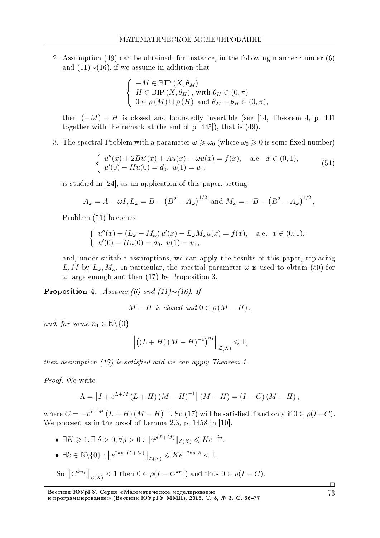2. Assumption (49) can be obtained, for instance, in the following manner : under (6) and (11)*∼*(16), if we assume in addition that

$$
\begin{cases}\n-M \in \text{BIP}(X, \theta_M) \\
H \in \text{BIP}(X, \theta_H), \text{ with } \theta_H \in (0, \pi) \\
0 \in \rho(M) \cup \rho(H) \text{ and } \theta_M + \theta_H \in (0, \pi),\n\end{cases}
$$

then  $(-M) + H$  is closed and boundedly invertible (see [14, Theorem 4, p. 441) together with the remark at the end of p. 445]), that is (49).

3. The spectral Problem with a parameter  $\omega \geqslant \omega_0$  (where  $\omega_0 \geqslant 0$  is some fixed number)

$$
\begin{cases}\nu''(x) + 2Bu'(x) + Au(x) - \omega u(x) = f(x), \quad \text{a.e. } x \in (0, 1), \\
u'(0) - Hu(0) = d_0, \ u(1) = u_1,\n\end{cases}
$$
\n(51)

is studied in [24], as an application of this paper, setting

$$
A_{\omega} = A - \omega I, L_{\omega} = B - (B^2 - A_{\omega})^{1/2}
$$
 and  $M_{\omega} = -B - (B^2 - A_{\omega})^{1/2}$ ,

Problem (51) becomes

$$
\begin{cases}\n u''(x) + (L_{\omega} - M_{\omega}) u'(x) - L_{\omega} M_{\omega} u(x) = f(x), \quad \text{a.e.} \ \ x \in (0, 1), \\
 u'(0) - Hu(0) = d_0, \ u(1) = u_1,\n\end{cases}
$$

and, under suitable assumptions, we can apply the results of this paper, replacing *L, M* by  $L_{\omega}$ ,  $M_{\omega}$ . In particular, the spectral parameter  $\omega$  is used to obtain (50) for *ω* large enough and then (17) by Proposition 3.

Proposition 4. Assume (6) and (11)*∼*(16). If

$$
M-H \text{ is closed and } 0 \in \rho (M-H),
$$

and, for some  $n_1 \in \mathbb{N} \backslash \{0\}$ 

$$
\left\| \left( \left( L+H \right) \left( M-H \right)^{-1} \right)^{n_1} \right\|_{\mathcal{L}(X)} \leq 1,
$$

then assumption  $(17)$  is satisfied and we can apply Theorem 1.

Proof. We write

$$
\Lambda = [I + e^{L+M} (L+H) (M-H)^{-1}] (M-H) = (I - C) (M - H),
$$

where  $C = -e^{L+M} (L+H) (M - H)^{-1}$ . So (17) will be satisfied if and only if  $0 \in \rho(I-C)$ . We proceed as in the proof of Lemma 2.3, p. 1458 in [10].

- $\bullet$   $\exists K \geq 1, \exists \delta > 0, \forall y > 0 : ||e^{y(L+M)}||_{\mathcal{L}(X)} \leqslant Ke^{-\delta y}.$
- $\bullet$   $\exists k \in \mathbb{N} \setminus \{0\} : \|e^{2kn_1(L+M)}\|_{\mathcal{L}(X)} \leqslant Ke^{-2kn_1\delta} < 1.$
- So  $||C^{kn_1}||_{\mathcal{L}(X)} < 1$  then  $0 \in \rho(I C^{kn_1})$  and thus  $0 \in \rho(I C)$ .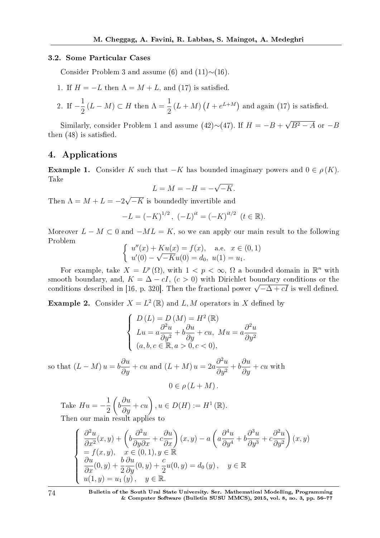#### 3.2. Some Particular Cases

Consider Problem 3 and assume (6) and (11)*∼*(16).

1. If  $H = -L$  then  $\Lambda = M + L$ , and (17) is satisfied.

2. If 
$$
-\frac{1}{2}(L-M) \subset H
$$
 then  $\Lambda = \frac{1}{2}(L+M)(I + e^{L+M})$  and again (17) is satisfied.

Similarly, consider Problem 1 and assume  $(42) \sim (47)$ . If  $H = -B +$ *√ B*<sup>2</sup> *− A* or *−B* then  $(48)$  is satisfied.

#### 4. Applications

**Example 1.** Consider *K* such that  $-K$  has bounded imaginary powers and  $0 \in \rho(K)$ . Take *√*

$$
L = M = -H = -\sqrt{-K}.
$$

Then  $\Lambda = M + L = -2$ *√ −K* is boundedly invertible and

$$
-L = (-K)^{1/2}, (-L)^{it} = (-K)^{it/2} \ (t \in \mathbb{R}).
$$

Moreover  $L - M \subset 0$  and  $-ML = K$ , so we can apply our main result to the following Problem

$$
\begin{cases}\nu''(x) + Ku(x) = f(x), & \text{a.e. } x \in (0, 1) \\
u'(0) - \sqrt{-K}u(0) = d_0, \ u(1) = u_1.\n\end{cases}
$$

For example, take  $X = L^p(\Omega)$ , with  $1 < p < \infty$ ,  $\Omega$  a bounded domain in  $\mathbb{R}^n$  with smooth boundary, and,  $K = \Delta - cI$ ,  $(c > 0)$  with Dirichlet boundary conditions or the smooth boundary, and,  $\kappa = \Delta - ct$ ,  $(c > 0)$  with Dirichlet boundary conditions or the<br>conditions described in [16, p. 320]. Then the fractional power  $\sqrt{-\Delta + cI}$  is well defined.

**Example 2.** Consider  $X = L^2(\mathbb{R})$  and  $L, M$  operators in *X* defined by

$$
\begin{cases}\nD(L) = D(M) = H^2(\mathbb{R}) \\
Lu = a\frac{\partial^2 u}{\partial y^2} + b\frac{\partial u}{\partial y} + cu, Mu = a\frac{\partial^2 u}{\partial y^2} \\
(a, b, c \in \mathbb{R}, a > 0, c < 0),\n\end{cases}
$$

so that  $(L - M)u = b$ *∂u*  $\frac{\partial u}{\partial y}$  + *cu* and  $(L + M) u = 2a$  $∂<sup>2</sup>u$  $\frac{\partial}{\partial y^2} + b$ *∂u*  $\frac{\partial u}{\partial y} + cu$  with  $0 \in \rho (L + M)$ .

Take  $Hu = -$ 1 2  $\sqrt{ }$ *b*  $\frac{\partial u}{\partial y} + cu$ ,  $u \in D(H) := H^1(\mathbb{R})$ . Then our main result applies to

$$
\begin{cases}\n\frac{\partial^2 u}{\partial x^2}(x, y) + \left(b\frac{\partial^2 u}{\partial y \partial x} + c\frac{\partial u}{\partial x}\right)(x, y) - a\left(a\frac{\partial^4 u}{\partial y^4} + b\frac{\partial^3 u}{\partial y^3} + c\frac{\partial^2 u}{\partial y^2}\right)(x, y) \\
= f(x, y), \quad x \in (0, 1), y \in \mathbb{R} \\
\frac{\partial u}{\partial x}(0, y) + \frac{b}{2}\frac{\partial u}{\partial y}(0, y) + \frac{c}{2}u(0, y) = d_0(y), \quad y \in \mathbb{R} \\
u(1, y) = u_1(y), \quad y \in \mathbb{R}.\n\end{cases}
$$

74 Bulletin of the South Ural State University. Ser. Mathematical Modelling, Programming & Computer Software (Bulletin SUSU MMCS), 2015, vol. 8, no. 3, pp. 5677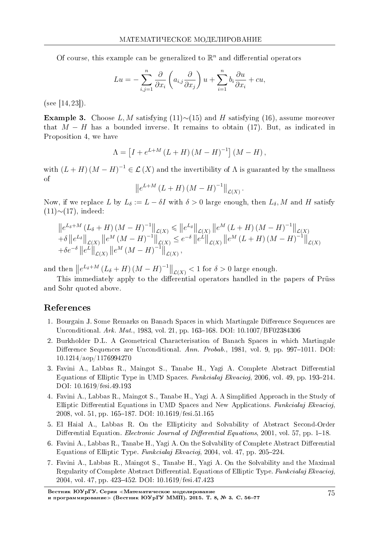Of course, this example can be generalized to  $\mathbb{R}^n$  and differential operators

$$
Lu = -\sum_{i,j=1}^{n} \frac{\partial}{\partial x_i} \left( a_{i,j} \frac{\partial}{\partial x_j} \right) u + \sum_{i=1}^{n} b_i \frac{\partial u}{\partial x_i} + cu,
$$

(see [14, 23]).

Example 3. Choose *L, M* satisfying (11)*∼*(15) and *H* satisfying (16), assume moreover that *M − H* has a bounded inverse. It remains to obtain (17). But, as indicated in Proposition 4, we have

$$
\Lambda = [I + e^{L+M} (L+H) (M-H)^{-1}] (M-H),
$$

with  $(L + H)(M - H)^{-1} \in \mathcal{L}(X)$  and the invertibility of  $\Lambda$  is guaranted by the smallness of

$$
\left\|e^{L+M}\left(L+H\right)\left(M-H\right)^{-1}\right\|_{\mathcal{L}(X)}.
$$

Now, if we replace *L* by  $L_{\delta} := L - \delta I$  with  $\delta > 0$  large enough, then  $L_{\delta}$ , *M* and *H* satisfy (11)*∼*(17), indeed:

$$
\|e^{L_{\delta}+M} (L_{\delta}+H) (M-H)^{-1}\|_{\mathcal{L}(X)} \leq \|e^{L_{\delta}}\|_{\mathcal{L}(X)} \|e^{M} (L+H) (M-H)^{-1}\|_{\mathcal{L}(X)} \n+\delta \|e^{L_{\delta}}\|_{\mathcal{L}(X)} \|e^{M} (M-H)^{-1}\|_{\mathcal{L}(X)} \leq e^{-\delta} \|e^{L}\|_{\mathcal{L}(X)} \|e^{M} (L+H) (M-H)^{-1}\|_{\mathcal{L}(X)} \n+\delta e^{-\delta} \|e^{L}\|_{\mathcal{L}(X)} \|e^{M} (M-H)^{-1}\|_{\mathcal{L}(X)},
$$

and then  $\left\|e^{L_{\delta}+M}(L_{\delta}+H)(M-H)^{-1}\right\|_{\mathcal{L}(X)} < 1$  for  $\delta > 0$  large enough.

This immediately apply to the differential operators handled in the papers of Prüss and Sohr quoted above.

#### References

- 1. Bourgain J. Some Remarks on Banach Spaces in which Martingale Difference Sequences are Unconditional. Ark. Mat., 1983, vol. 21, pp. 163-168. DOI: 10.1007/BF02384306
- 2. Burkholder D.L. A Geometrical Characterisation of Banach Spaces in which Martingale Difference Sequences are Unconditional. Ann. Probab., 1981, vol. 9, pp. 997-1011. DOI: 10.1214/aop/1176994270
- 3. Favini A., Labbas R., Maingot S., Tanabe H., Yagi A. Complete Abstract Differential Equations of Elliptic Type in UMD Spaces. Funkcialaj Ekvacioj, 2006, vol. 49, pp. 193–214. DOI: 10.1619/fesi.49.193
- 4. Favini A., Labbas R., Maingot S., Tanabe H., Yagi A. A Simplied Approach in the Study of Elliptic Differential Equations in UMD Spaces and New Applications. Funkcialaj Ekvacioj, 2008, vol. 51, pp. 165–187. DOI: 10.1619/fesi.51.165
- 5. El Haial A., Labbas R. On the Ellipticity and Solvability of Abstract Second-Order Differential Equation. *Electronic Journal of Differential Equations*, 2001, vol. 57, pp. 1–18.
- 6. Favini A., Labbas R., Tanabe H., Yagi A. On the Solvability of Complete Abstract Differential Equations of Elliptic Type. Funkcialaj Ekvacioj, 2004, vol. 47, pp. 205-224.
- 7. Favini A., Labbas R., Maingot S., Tanabe H., Yagi A. On the Solvability and the Maximal Regularity of Complete Abstract Differential. Equations of Elliptic Type. Funkcialaj Ekvacioj, 2004, vol. 47, pp. 423–452. DOI: 10.1619/fesi.47.423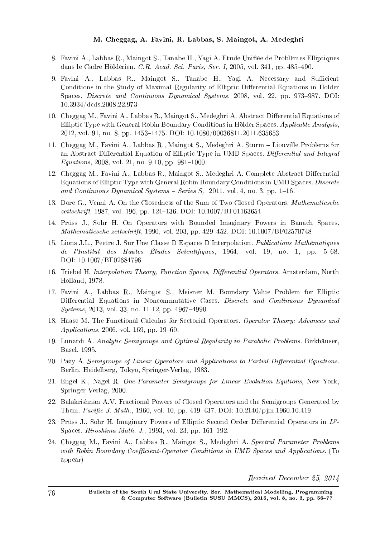- 8. Favini A., Labbas R., Maingot S., Tanabe H., Yagi A. Etude Unifiée de Problèmes Elliptiques dans le Cadre Höldérien. C.R. Acad. Sci. Paris, Ser. I, 2005, vol. 341, pp. 485-490.
- 9. Favini A., Labbas R., Maingot S., Tanabe H., Yagi A. Necessary and Sufficient Conditions in the Study of Maximal Regularity of Elliptic Differential Equations in Holder Spaces. Discrete and Continuous Dynamical Systems, 2008, vol. 22, pp. 973–987. DOI: 10.3934/dcds.2008.22.973
- 10. Cheggag M., Favini A., Labbas R., Maingot S., Medeghri A. Abstract Differential Equations of Elliptic Type with General Robin Boundary Conditions in Hölder Spaces. Applicable Analysis, 2012, vol. 91, no. 8, pp. 1453-1475. DOI: 10.1080/00036811.2011.635653
- 11. Cheggag M., Favini A., Labbas R., Maingot S., Medeghri A. Sturm Liouville Problems for an Abstract Differential Equation of Elliptic Type in UMD Spaces. Differential and Integral  $Equations, 2008, vol. 21, no. 9-10, pp. 981-1000.$
- 12. Cheggag M., Favini A., Labbas R., Maingot S., Medeghri A. Complete Abstract Differential Equations of Elliptic Type with General Robin Boundary Conditions in UMD Spaces. Discrete and Continuous Dynamical Systems  $-$  Series S, 2011, vol. 4, no. 3, pp. 1–16.
- 13. Dore G., Venni A. On the Closedness of the Sum of Two Closed Operators. Mathematicsche zeitschrift, 1987, vol. 196, pp. 124–136. DOI: 10.1007/BF01163654
- 14. Pruss J., Sohr H. On Operators with Bounded Imaginary Powers in Banach Spaces. Mathematicsche zeitschrift, 1990, vol. 203, pp. 429–452. DOI: 10.1007/BF02570748
- 15. Lions J.L., Peetre J. Sur Une Classe D'Espaces D'Interpolation. Publications Mathematiques de l'Institut des Hautes Études Scientifiques, 1964, vol. 19, no. 1, pp.  $5-68$ . DOI: 10.1007/BF02684796
- 16. Triebel H. Interpolation Theory, Function Spaces, Differential Operators. Amsterdam, North Holland, 1978.
- 17. Favini A., Labbas R., Maingot S., Meisner M. Boundary Value Problem for Elliptic Differential Equations in Noncommutative Cases. Discrete and Continuous Dynamical  $Systems, 2013, vol. 33, no. 11-12, pp. 4967-4990.$
- 18. Haase M. The Functional Calculus for Sectorial Operators. Operator Theory: Advances and  $Applications, 2006, vol. 169, pp. 19–60.$
- 19. Lunardi A. Analytic Semigroups and Optimal Regularity in Parabolic Problems. Birkhäuser, Basel, 1995.
- 20. Pazy A. Semigroups of Linear Operators and Applications to Partial Differential Equations. Berlin, Heidelberg, Tokyo, Springer-Verlag, 1983.
- 21. Engel K., Nagel R. One-Parameter Semigroups for Linear Evolution Equtions, New York, Springer Verlag, 2000.
- 22. Balakrishnan A.V. Fractional Powers of Closed Operators and the Semigroups Generated by Them. Pacific J. Math., 1960, vol. 10, pp. 419–437. DOI:  $10.2140/p$ jm.1960.10.419
- 23. Prüss J., Sohr H. Imaginary Powers of Elliptic Second Order Differential Operators in  $L^p$ -Spaces. Hiroshima Math. J., 1993, vol. 23, pp.  $161-192$ .
- 24. Cheggag M., Favini A., Labbas R., Maingot S., Medeghri A. Spectral Parameter Problems with Robin Boundary Coefficient-Operator Conditions in UMD Spaces and Applications. (To appear)

Received December 25, 2014